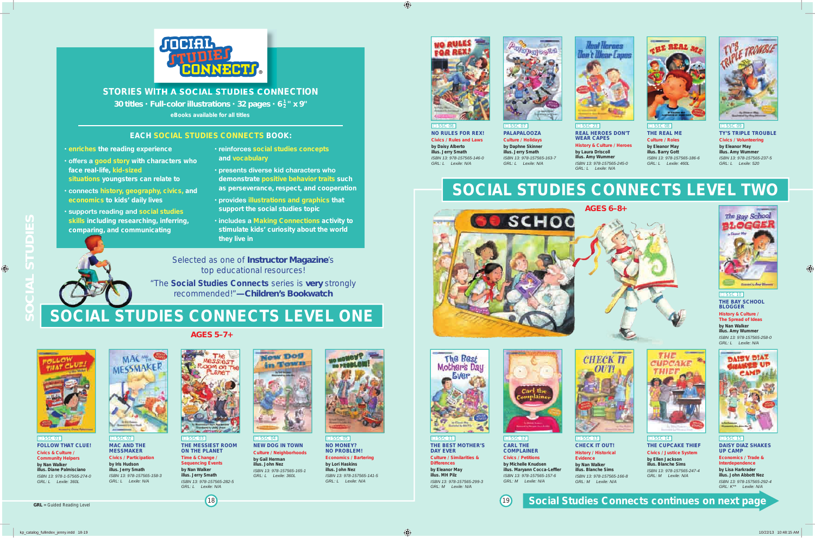# *AGeS 5–7+*

 $\Box$  SSC 01 **FOLLOW THAT CLUe! Civics & Culture / Community Helpers by Nan Walker illus. Diane Palmisciano** *ISBN 13: 978-1-57565-274-0 GRL: L Lexile: 360L*



<u>⊟ SSC 02</u> **MAC AnD THe MeSSMAkeR Civics / Participation by Iris Hudson illus. Jerry Smath** *ISBN 13: 978-157565-158-3 GRL: L Lexile: N/A*

<u>⊟ SSC 03</u> **THe MeSSIeST ROOM ON THE PLANET Time & Change / Sequencing Events by Nan Walker illus. Jerry Smath** *ISBN 13: 978-157565-282-5 GRL: L Lexile: N/A*

**NO MONEY? nO PROBLeM!**

 $TC$  OF **nO RULeS FOR Rex! Civics / Rules and Laws by Daisy Alberto illus. Jerry Smath** *ISBN 13: 978-157565-146-0 GRL: L Lexile: N/A*

<u>⊟ SSC 07</u> **PALAPALOOZA Culture / Holidays by Daphne Skinner illus. Jerry Smath** *ISBN 13: 978-157565-163-7 GRL: L Lexile: N/A*

# **SOCIAL STUDIES CONNECTS LEVEL TWO**



 $\Box$  CSC 08 **THe ReAL Me Culture / Roles by eleanor May illus. Barry Gott** *ISBN 13: 978-157565-186-6 GRL: L Lexile: 460L*



**neW DOG In TOWn Culture / neighborhoods by Gail Herman illus. John Nez** *ISBN 13: 978-157565-165-1 GRL: L Lexile: 360L*

 $\overline{\square}$  SSC 09 **TY'S TRIPLe TROUBLe Civics / Volunteering by eleanor May illus. Amy Wummer** *ISBN 13: 978-157565-237-5 GRL: L Lexile: 520*







 $SSC 11$ **THe BeST MOTHeR'S DAY eVeR Culture / Similarities & Differences by Eleanor May illus. MH Pilz**

**economics / Bartering by Lori Haskins illus. John nez** *ISBN 13: 978-157565-141-5 GRL: L Lexile: N/A*



 $\Box$  SSC 12 **CARL THe COMPLAIneR Civics / Petitions by Michelle knudsen illus. Maryann Cocca-Leffler** *ISBN 13: 978-157565-157-6 GRL: M Lexile: N/A*

 $(19)$ 





**□ SSC 15 DAISY DIAZ SHAkeS UP CAMP**

*ISBN 13: 978-157565-299-3 GRL: M Lexile: N/A*





 $\overline{\square}$  SSC 23 **ReAL HeROeS DOn'T WeAR CAPeS History & Culture / Heroes**



**CHeCk IT OUT! History / Historical illus. Blanche Sims** *ISBN 13: 978-157565-166-8 GRL: M Lexile: N/A*



**THe CUPCAke THIeF Civics / Justice System by ellen Jackson illus. Blanche Sims** *ISBN 13: 978-157565-247-4 GRL: M Lexile: N/A*

**economics / Trade & Interdependence by Lisa Harkrader illus. John Abbott nez** *ISBN 13: 978-157565-292-4 GRL: K\*\* Lexile: N/A*



# **THe BAY SCHOOL BLOGGeR**

**History & Culture / The Spread of Ideas by Nan Walker illus. Amy Wummer** *ISBN 13: 978-157565-258-0 GRL: L Lexile: N/A*



**SOCIAL STUDIeS**

 $\mathbf{S}$ 

<sup>18</sup> **Social Studies Connects continues on next page**



Selected as one of *Instructor Magazine*'s top educational resources!

"The **Social Studies Connects** series is *very* strongly recommended!"*—Children's Bookwatch*

# **SOCIAL STUDIES CONNECTS LEVEL ONE**





**STORIeS WITH A SOCIAL STUDIeS COnneCTIOn S COnne**

- **enriches the reading experience**
- **offers a good story with characters who face real-life, kid-sized situations youngsters can relate to**
- **connects history, geography, civics, and economics to kids' daily lives**
- **supports reading and social studies skills including researching, inferring, comparing, and communicating**
- **reinforces social studies concepts and vocabulary**
- **presents diverse kid characters who demonstrate positive behavior traits such as perseverance, respect, and cooperation**
- **provides illustrations and graphics that support the social studies topic**
- **includes a Making Connections activity to stimulate kids' curiosity about the world they live in**

*30 titles* **•** *Full-color illustrations* **•** *32 pages* **•** *6 <sup>1</sup> <sup>2</sup> " x 9"* **eBooks available for all titles**

### **EACH SOCIAL STUDIES CONNECTS BOOK:**

**by Laura Driscoll illus. Amy Wummer** *ISBN 13: 978-157565-245-0 GRL: L Lexile: N/A*



*GRL* = Guided Reading Level